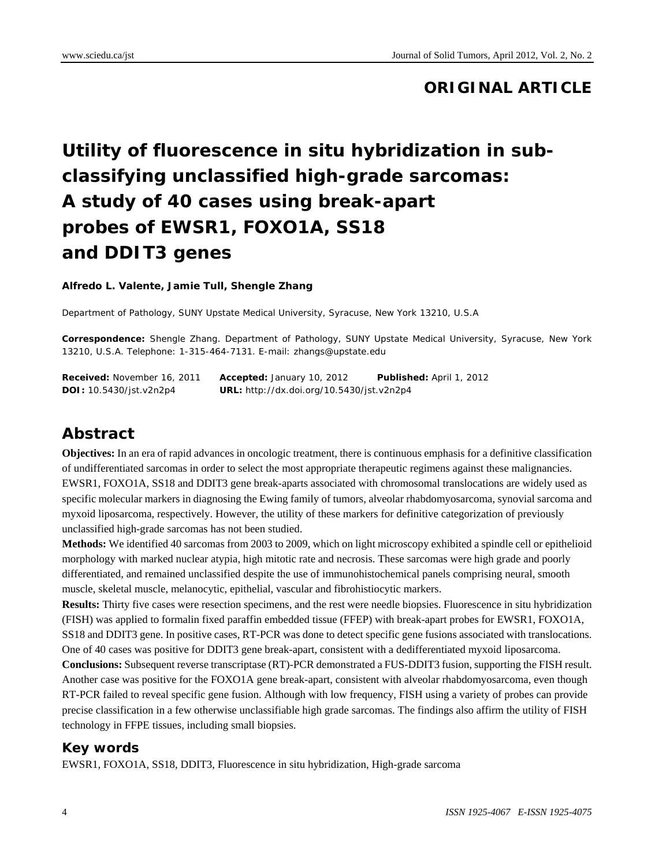# **ORIGINAL ARTICLE**

# **Utility of fluorescence in situ hybridization in subclassifying unclassified high-grade sarcomas: A study of 40 cases using break-apart probes of EWSR1, FOXO1A, SS18 and DDIT3 genes**

#### **Alfredo L. Valente, Jamie Tull, Shengle Zhang**

Department of Pathology, SUNY Upstate Medical University, Syracuse, New York 13210, U.S.A

**Correspondence:** Shengle Zhang. Department of Pathology, SUNY Upstate Medical University, Syracuse, New York 13210, U.S.A. Telephone: 1-315-464-7131. E-mail: zhangs@upstate.edu

**Received:** November 16, 2011 **Accepted:** January 10, 2012 **Published:** April 1, 2012 **DOI:** 10.5430/jst.v2n2p4 **URL:** http://dx.doi.org/10.5430/jst.v2n2p4

# **Abstract**

**Objectives:** In an era of rapid advances in oncologic treatment, there is continuous emphasis for a definitive classification of undifferentiated sarcomas in order to select the most appropriate therapeutic regimens against these malignancies. EWSR1, FOXO1A, SS18 and DDIT3 gene break-aparts associated with chromosomal translocations are widely used as specific molecular markers in diagnosing the Ewing family of tumors, alveolar rhabdomyosarcoma, synovial sarcoma and myxoid liposarcoma, respectively. However, the utility of these markers for definitive categorization of previously unclassified high-grade sarcomas has not been studied.

**Methods:** We identified 40 sarcomas from 2003 to 2009, which on light microscopy exhibited a spindle cell or epithelioid morphology with marked nuclear atypia, high mitotic rate and necrosis. These sarcomas were high grade and poorly differentiated, and remained unclassified despite the use of immunohistochemical panels comprising neural, smooth muscle, skeletal muscle, melanocytic, epithelial, vascular and fibrohistiocytic markers.

**Results:** Thirty five cases were resection specimens, and the rest were needle biopsies. Fluorescence in situ hybridization (FISH) was applied to formalin fixed paraffin embedded tissue (FFEP) with break-apart probes for EWSR1, FOXO1A, SS18 and DDIT3 gene. In positive cases, RT-PCR was done to detect specific gene fusions associated with translocations. One of 40 cases was positive for DDIT3 gene break-apart, consistent with a dedifferentiated myxoid liposarcoma.

**Conclusions:** Subsequent reverse transcriptase (RT)-PCR demonstrated a FUS-DDIT3 fusion, supporting the FISH result. Another case was positive for the FOXO1A gene break-apart, consistent with alveolar rhabdomyosarcoma, even though RT-PCR failed to reveal specific gene fusion. Although with low frequency, FISH using a variety of probes can provide precise classification in a few otherwise unclassifiable high grade sarcomas. The findings also affirm the utility of FISH technology in FFPE tissues, including small biopsies.

## **Key words**

EWSR1, FOXO1A, SS18, DDIT3, Fluorescence in situ hybridization, High-grade sarcoma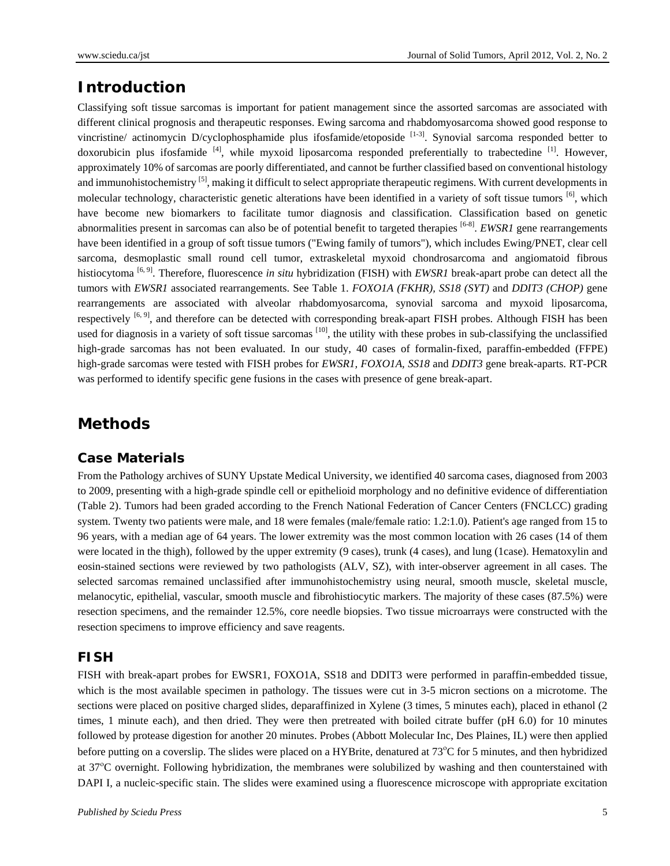## **Introduction**

Classifying soft tissue sarcomas is important for patient management since the assorted sarcomas are associated with different clinical prognosis and therapeutic responses. Ewing sarcoma and rhabdomyosarcoma showed good response to vincristine/ actinomycin D/cyclophosphamide plus ifosfamide/etoposide  $[1-3]$ . Synovial sarcoma responded better to doxorubicin plus ifosfamide  $^{[4]}$ , while myxoid liposarcoma responded preferentially to trabectedine  $^{[1]}$ . However, approximately 10% of sarcomas are poorly differentiated, and cannot be further classified based on conventional histology and immunohistochemistry  $[5]$ , making it difficult to select appropriate therapeutic regimens. With current developments in molecular technology, characteristic genetic alterations have been identified in a variety of soft tissue tumors [6], which have become new biomarkers to facilitate tumor diagnosis and classification. Classification based on genetic abnormalities present in sarcomas can also be of potential benefit to targeted therapies [6-8]. *EWSR1* gene rearrangements have been identified in a group of soft tissue tumors ("Ewing family of tumors"), which includes Ewing/PNET, clear cell sarcoma, desmoplastic small round cell tumor, extraskeletal myxoid chondrosarcoma and angiomatoid fibrous histiocytoma <sup>[6, 9]</sup>. Therefore, fluorescence *in situ* hybridization (FISH) with *EWSR1* break-apart probe can detect all the tumors with *EWSR1* associated rearrangements. See Table 1. *FOXO1A (FKHR), SS18 (SYT)* and *DDIT3 (CHOP)* gene rearrangements are associated with alveolar rhabdomyosarcoma, synovial sarcoma and myxoid liposarcoma, respectively <sup>[6, 9]</sup>, and therefore can be detected with corresponding break-apart FISH probes. Although FISH has been used for diagnosis in a variety of soft tissue sarcomas  $[10]$ , the utility with these probes in sub-classifying the unclassified high-grade sarcomas has not been evaluated. In our study, 40 cases of formalin-fixed, paraffin-embedded (FFPE) high-grade sarcomas were tested with FISH probes for *EWSR1, FOXO1A, SS18* and *DDIT3* gene break-aparts. RT-PCR was performed to identify specific gene fusions in the cases with presence of gene break-apart.

## **Methods**

#### **Case Materials**

From the Pathology archives of SUNY Upstate Medical University, we identified 40 sarcoma cases, diagnosed from 2003 to 2009, presenting with a high-grade spindle cell or epithelioid morphology and no definitive evidence of differentiation (Table 2). Tumors had been graded according to the French National Federation of Cancer Centers (FNCLCC) grading system. Twenty two patients were male, and 18 were females (male/female ratio: 1.2:1.0). Patient's age ranged from 15 to 96 years, with a median age of 64 years. The lower extremity was the most common location with 26 cases (14 of them were located in the thigh), followed by the upper extremity (9 cases), trunk (4 cases), and lung (1case). Hematoxylin and eosin-stained sections were reviewed by two pathologists (ALV, SZ), with inter-observer agreement in all cases. The selected sarcomas remained unclassified after immunohistochemistry using neural, smooth muscle, skeletal muscle, melanocytic, epithelial, vascular, smooth muscle and fibrohistiocytic markers. The majority of these cases (87.5%) were resection specimens, and the remainder 12.5%, core needle biopsies. Two tissue microarrays were constructed with the resection specimens to improve efficiency and save reagents.

#### **FISH**

FISH with break-apart probes for EWSR1, FOXO1A, SS18 and DDIT3 were performed in paraffin-embedded tissue, which is the most available specimen in pathology. The tissues were cut in 3-5 micron sections on a microtome. The sections were placed on positive charged slides, deparaffinized in Xylene (3 times, 5 minutes each), placed in ethanol (2 times, 1 minute each), and then dried. They were then pretreated with boiled citrate buffer (pH 6.0) for 10 minutes followed by protease digestion for another 20 minutes. Probes (Abbott Molecular Inc, Des Plaines, IL) were then applied before putting on a coverslip. The slides were placed on a HYBrite, denatured at 73<sup>o</sup>C for 5 minutes, and then hybridized at 37°C overnight. Following hybridization, the membranes were solubilized by washing and then counterstained with DAPI I, a nucleic-specific stain. The slides were examined using a fluorescence microscope with appropriate excitation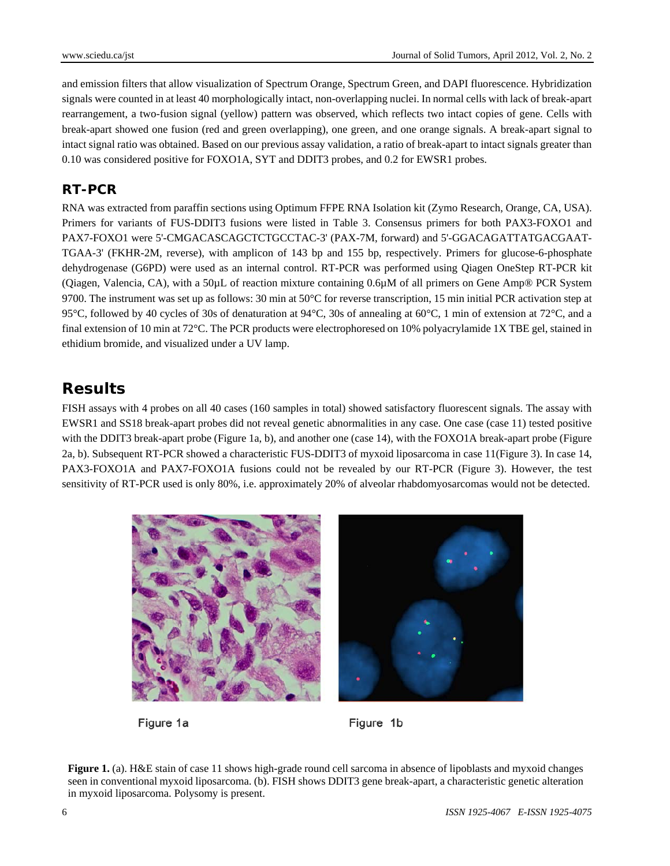and emission filters that allow visualization of Spectrum Orange, Spectrum Green, and DAPI fluorescence. Hybridization signals were counted in at least 40 morphologically intact, non-overlapping nuclei. In normal cells with lack of break-apart rearrangement, a two-fusion signal (yellow) pattern was observed, which reflects two intact copies of gene. Cells with break-apart showed one fusion (red and green overlapping), one green, and one orange signals. A break-apart signal to intact signal ratio was obtained. Based on our previous assay validation, a ratio of break-apart to intact signals greater than 0.10 was considered positive for FOXO1A, SYT and DDIT3 probes, and 0.2 for EWSR1 probes.

### **RT-PCR**

RNA was extracted from paraffin sections using Optimum FFPE RNA Isolation kit (Zymo Research, Orange, CA, USA). Primers for variants of FUS-DDIT3 fusions were listed in Table 3. Consensus primers for both PAX3-FOXO1 and PAX7-FOXO1 were 5'-CMGACASCAGCTCTGCCTAC-3' (PAX-7M, forward) and 5'-GGACAGATTATGACGAAT-TGAA-3' (FKHR-2M, reverse), with amplicon of 143 bp and 155 bp, respectively. Primers for glucose-6-phosphate dehydrogenase (G6PD) were used as an internal control. RT-PCR was performed using Qiagen OneStep RT-PCR kit (Qiagen, Valencia, CA), with a 50µL of reaction mixture containing 0.6µM of all primers on Gene Amp® PCR System 9700. The instrument was set up as follows: 30 min at 50°C for reverse transcription, 15 min initial PCR activation step at 95°C, followed by 40 cycles of 30s of denaturation at 94°C, 30s of annealing at 60°C, 1 min of extension at 72°C, and a final extension of 10 min at 72°C. The PCR products were electrophoresed on 10% polyacrylamide 1X TBE gel, stained in ethidium bromide, and visualized under a UV lamp.

# **Results**

FISH assays with 4 probes on all 40 cases (160 samples in total) showed satisfactory fluorescent signals. The assay with EWSR1 and SS18 break-apart probes did not reveal genetic abnormalities in any case. One case (case 11) tested positive with the DDIT3 break-apart probe (Figure 1a, b), and another one (case 14), with the FOXO1A break-apart probe (Figure 2a, b). Subsequent RT-PCR showed a characteristic FUS-DDIT3 of myxoid liposarcoma in case 11(Figure 3). In case 14, PAX3-FOXO1A and PAX7-FOXO1A fusions could not be revealed by our RT-PCR (Figure 3). However, the test sensitivity of RT-PCR used is only 80%, i.e. approximately 20% of alveolar rhabdomyosarcomas would not be detected.



Figure 1a

Figure 1b

**Figure 1.** (a). H&E stain of case 11 shows high-grade round cell sarcoma in absence of lipoblasts and myxoid changes seen in conventional myxoid liposarcoma. (b). FISH shows DDIT3 gene break-apart, a characteristic genetic alteration in myxoid liposarcoma. Polysomy is present.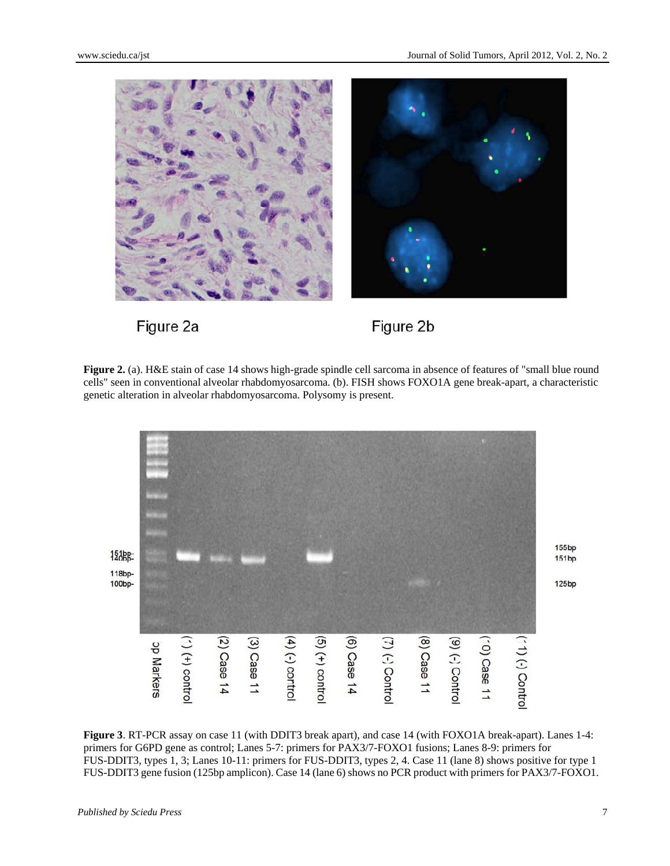

Figure 2a

Figure 2b

**Figure 2.** (a). H&E stain of case 14 shows high-grade spindle cell sarcoma in absence of features of "small blue round" cells" seen in conventional alveolar rhabdomyosarcoma. (b). FISH shows FOXO1A gene break-apart, a characteristic genetic alteration in alveolar rhabdomyosarcoma. Polysomy is present.



**Figure 3**. RT-PCR assay on case 11 (with DDIT3 break apart), and case 14 (with FOXO1A break-apart). Lanes 1-4: primers for G6PD gene as control; Lanes 5-7: primers for PAX3/7-FOXO1 fusions; Lanes 8-9: primers for FUS-DDIT3, types 1, 3; Lanes 10-11: primers for FUS-DDIT3, types 2, 4. Case 11 (lane 8) shows positive for type 1 FUS-DDIT3 gene fusion (125bp amplicon). Case 14 (lane 6) shows no PCR product with primers for PAX3/7-FOXO1.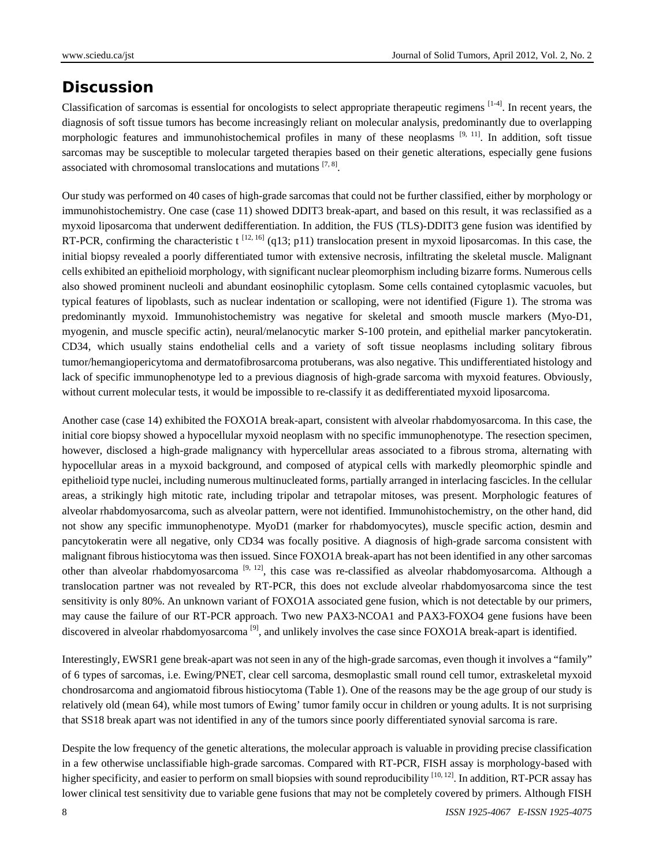# **Discussion**

Classification of sarcomas is essential for oncologists to select appropriate therapeutic regimens  $[1-4]$ . In recent years, the diagnosis of soft tissue tumors has become increasingly reliant on molecular analysis, predominantly due to overlapping morphologic features and immunohistochemical profiles in many of these neoplasms  $[9, 11]$ . In addition, soft tissue sarcomas may be susceptible to molecular targeted therapies based on their genetic alterations, especially gene fusions associated with chromosomal translocations and mutations  $[7, 8]$ .

Our study was performed on 40 cases of high-grade sarcomas that could not be further classified, either by morphology or immunohistochemistry. One case (case 11) showed DDIT3 break-apart, and based on this result, it was reclassified as a myxoid liposarcoma that underwent dedifferentiation. In addition, the FUS (TLS)-DDIT3 gene fusion was identified by RT-PCR, confirming the characteristic t<sup>[12, 16]</sup> (q13; p11) translocation present in myxoid liposarcomas. In this case, the initial biopsy revealed a poorly differentiated tumor with extensive necrosis, infiltrating the skeletal muscle. Malignant cells exhibited an epithelioid morphology, with significant nuclear pleomorphism including bizarre forms. Numerous cells also showed prominent nucleoli and abundant eosinophilic cytoplasm. Some cells contained cytoplasmic vacuoles, but typical features of lipoblasts, such as nuclear indentation or scalloping, were not identified (Figure 1). The stroma was predominantly myxoid. Immunohistochemistry was negative for skeletal and smooth muscle markers (Myo-D1, myogenin, and muscle specific actin), neural/melanocytic marker S-100 protein, and epithelial marker pancytokeratin. CD34, which usually stains endothelial cells and a variety of soft tissue neoplasms including solitary fibrous tumor/hemangiopericytoma and dermatofibrosarcoma protuberans, was also negative. This undifferentiated histology and lack of specific immunophenotype led to a previous diagnosis of high-grade sarcoma with myxoid features. Obviously, without current molecular tests, it would be impossible to re-classify it as dedifferentiated myxoid liposarcoma.

Another case (case 14) exhibited the FOXO1A break-apart, consistent with alveolar rhabdomyosarcoma. In this case, the initial core biopsy showed a hypocellular myxoid neoplasm with no specific immunophenotype. The resection specimen, however, disclosed a high-grade malignancy with hypercellular areas associated to a fibrous stroma, alternating with hypocellular areas in a myxoid background, and composed of atypical cells with markedly pleomorphic spindle and epithelioid type nuclei, including numerous multinucleated forms, partially arranged in interlacing fascicles. In the cellular areas, a strikingly high mitotic rate, including tripolar and tetrapolar mitoses, was present. Morphologic features of alveolar rhabdomyosarcoma, such as alveolar pattern, were not identified. Immunohistochemistry, on the other hand, did not show any specific immunophenotype. MyoD1 (marker for rhabdomyocytes), muscle specific action, desmin and pancytokeratin were all negative, only CD34 was focally positive. A diagnosis of high-grade sarcoma consistent with malignant fibrous histiocytoma was then issued. Since FOXO1A break-apart has not been identified in any other sarcomas other than alveolar rhabdomyosarcoma [9, 12], this case was re-classified as alveolar rhabdomyosarcoma. Although a translocation partner was not revealed by RT-PCR, this does not exclude alveolar rhabdomyosarcoma since the test sensitivity is only 80%. An unknown variant of FOXO1A associated gene fusion, which is not detectable by our primers, may cause the failure of our RT-PCR approach. Two new PAX3-NCOA1 and PAX3-FOXO4 gene fusions have been discovered in alveolar rhabdomyosarcoma<sup>[9]</sup>, and unlikely involves the case since FOXO1A break-apart is identified.

Interestingly, EWSR1 gene break-apart was not seen in any of the high-grade sarcomas, even though it involves a "family" of 6 types of sarcomas, i.e. Ewing/PNET, clear cell sarcoma, desmoplastic small round cell tumor, extraskeletal myxoid chondrosarcoma and angiomatoid fibrous histiocytoma (Table 1). One of the reasons may be the age group of our study is relatively old (mean 64), while most tumors of Ewing' tumor family occur in children or young adults. It is not surprising that SS18 break apart was not identified in any of the tumors since poorly differentiated synovial sarcoma is rare.

Despite the low frequency of the genetic alterations, the molecular approach is valuable in providing precise classification in a few otherwise unclassifiable high-grade sarcomas. Compared with RT-PCR, FISH assay is morphology-based with higher specificity, and easier to perform on small biopsies with sound reproducibility [10, 12]. In addition, RT-PCR assay has lower clinical test sensitivity due to variable gene fusions that may not be completely covered by primers. Although FISH